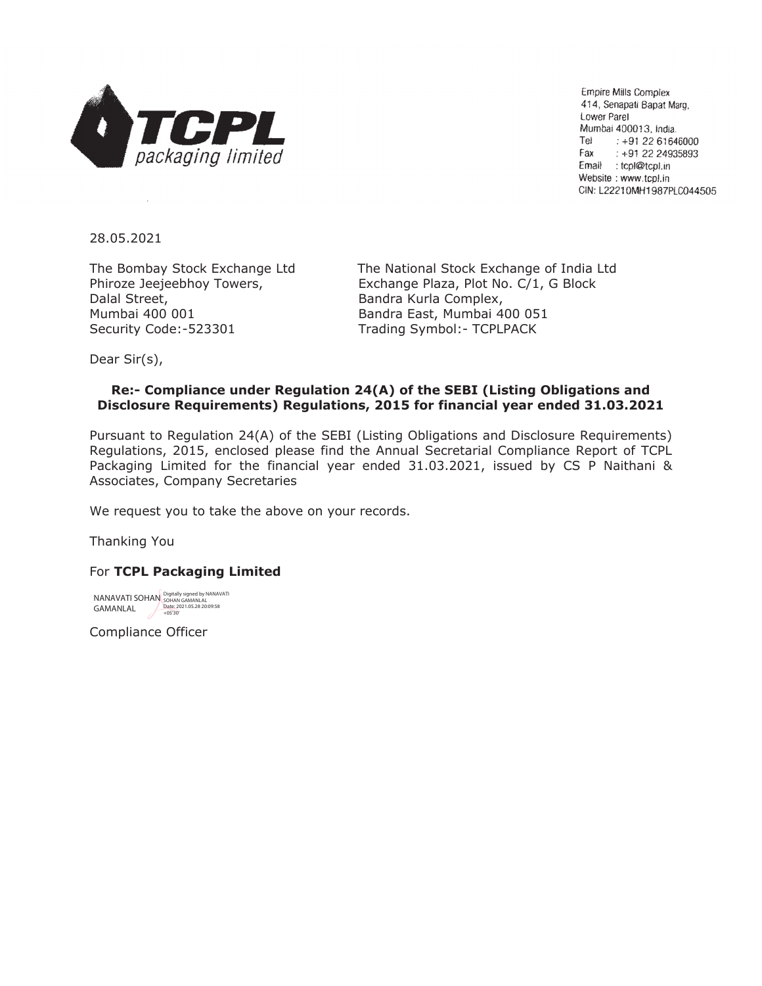

**Empire Mills Complex** 414, Senapati Bapat Marg, Lower Parel Mumbai 400013, India. Tel :  $+912261646000$ Fax  $: +912224935893$ Email : tcpl@tcpl.in Website: www.tcpl.in CIN: L22210MH1987PLC044505

28.05.2021

Dalal Street, **Bandra Kurla Complex**, Mumbai 400 001 Bandra East, Mumbai 400 051 Security Code:-523301 Trading Symbol:- TCPLPACK

The Bombay Stock Exchange Ltd The National Stock Exchange of India Ltd Phiroze Jeejeebhoy Towers, Exchange Plaza, Plot No. C/1, G Block

Dear Sir(s),

## **Re:- Compliance under Regulation 24(A) of the SEBI (Listing Obligations and Disclosure Requirements) Regulations, 2015 for financial year ended 31.03.2021**

Pursuant to Regulation 24(A) of the SEBI (Listing Obligations and Disclosure Requirements) Regulations, 2015, enclosed please find the Annual Secretarial Compliance Report of TCPL Packaging Limited for the financial year ended 31.03.2021, issued by CS P Naithani & Associates, Company Secretaries

We request you to take the above on your records.

Thanking You

## For **TCPL Packaging Limited**

NANAVATI SOHAN Digitally signed by NANAVATI GAMANLAL SOHAN GAMANLAL Date: 2021.05.28 20:09:58 +05'30'

Compliance Officer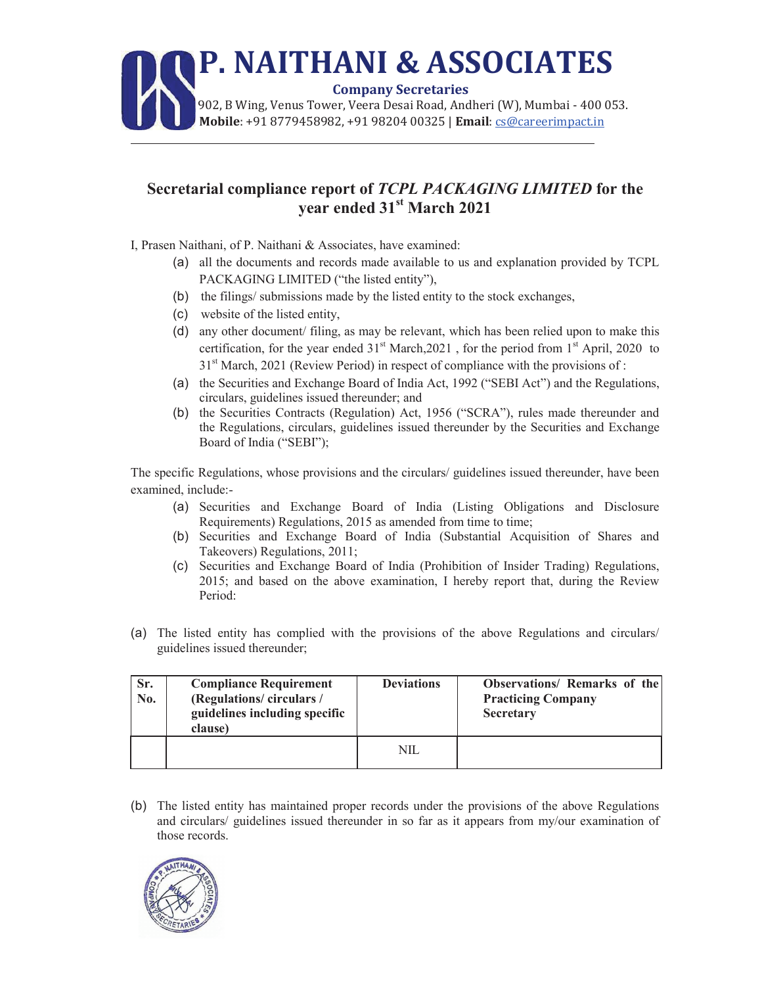## **P. NAITHANI & ASSOCIATES Company Secretaries** 902, B Wing, Venus Tower, Veera Desai Road, Andheri (W), Mumbai - 400 053.  **Mobile**: +91 8779458982, +91 98204 00325 | **Email**: cs@careerimpact.in

## **Secretarial compliance report of** *TCPL PACKAGING LIMITED* **for the year ended 31st March 2021**

I, Prasen Naithani, of P. Naithani & Associates, have examined:

- (a) all the documents and records made available to us and explanation provided by TCPL PACKAGING LIMITED ("the listed entity"),
- (b) the filings/ submissions made by the listed entity to the stock exchanges,
- (c) website of the listed entity,

l

- (d) any other document/ filing, as may be relevant, which has been relied upon to make this certification, for the year ended  $31<sup>st</sup> March,2021$ , for the period from  $1<sup>st</sup>$  April, 2020 to 31<sup>st</sup> March, 2021 (Review Period) in respect of compliance with the provisions of :
- (a) the Securities and Exchange Board of India Act, 1992 ("SEBI Act") and the Regulations, circulars, guidelines issued thereunder; and
- (b) the Securities Contracts (Regulation) Act, 1956 ("SCRA"), rules made thereunder and the Regulations, circulars, guidelines issued thereunder by the Securities and Exchange Board of India ("SEBI");

The specific Regulations, whose provisions and the circulars/ guidelines issued thereunder, have been examined, include:-

- (a) Securities and Exchange Board of India (Listing Obligations and Disclosure Requirements) Regulations, 2015 as amended from time to time;
- (b) Securities and Exchange Board of India (Substantial Acquisition of Shares and Takeovers) Regulations, 2011;
- (c) Securities and Exchange Board of India (Prohibition of Insider Trading) Regulations, 2015; and based on the above examination, I hereby report that, during the Review Period:
- (a) The listed entity has complied with the provisions of the above Regulations and circulars/ guidelines issued thereunder;

| Sr.<br>No. | <b>Compliance Requirement</b><br>(Regulations/circulars/<br>guidelines including specific<br>clause) | <b>Deviations</b> | <b>Observations/ Remarks of the</b><br><b>Practicing Company</b><br><b>Secretary</b> |
|------------|------------------------------------------------------------------------------------------------------|-------------------|--------------------------------------------------------------------------------------|
|            |                                                                                                      | NIL               |                                                                                      |

(b) The listed entity has maintained proper records under the provisions of the above Regulations and circulars/ guidelines issued thereunder in so far as it appears from my/our examination of those records.